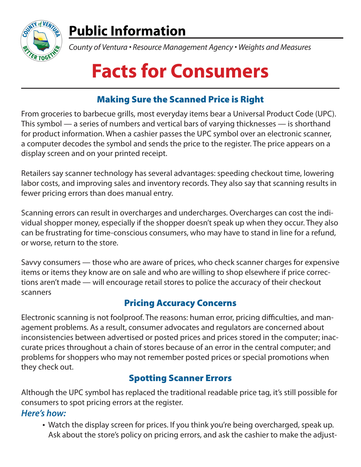

# **Public Information**

*County of Ventura • Resource Management Agency • Weights and Measures*

# **Facts for Consumers**

## Making Sure the Scanned Price is Right

From groceries to barbecue grills, most everyday items bear a Universal Product Code (UPC). This symbol — a series of numbers and vertical bars of varying thicknesses — is shorthand for product information. When a cashier passes the UPC symbol over an electronic scanner, a computer decodes the symbol and sends the price to the register. The price appears on a display screen and on your printed receipt.

Retailers say scanner technology has several advantages: speeding checkout time, lowering labor costs, and improving sales and inventory records. They also say that scanning results in fewer pricing errors than does manual entry.

Scanning errors can result in overcharges and undercharges. Overcharges can cost the individual shopper money, especially if the shopper doesn't speak up when they occur. They also can be frustrating for time-conscious consumers, who may have to stand in line for a refund, or worse, return to the store.

Savvy consumers — those who are aware of prices, who check scanner charges for expensive items or items they know are on sale and who are willing to shop elsewhere if price corrections aren't made — will encourage retail stores to police the accuracy of their checkout scanners

### Pricing Accuracy Concerns

Electronic scanning is not foolproof. The reasons: human error, pricing difficulties, and management problems. As a result, consumer advocates and regulators are concerned about inconsistencies between advertised or posted prices and prices stored in the computer; inaccurate prices throughout a chain of stores because of an error in the central computer; and problems for shoppers who may not remember posted prices or special promotions when they check out.

### Spotting Scanner Errors

Although the UPC symbol has replaced the traditional readable price tag, it's still possible for consumers to spot pricing errors at the register.

#### **Here's how:**

• Watch the display screen for prices. If you think you're being overcharged, speak up. Ask about the store's policy on pricing errors, and ask the cashier to make the adjust